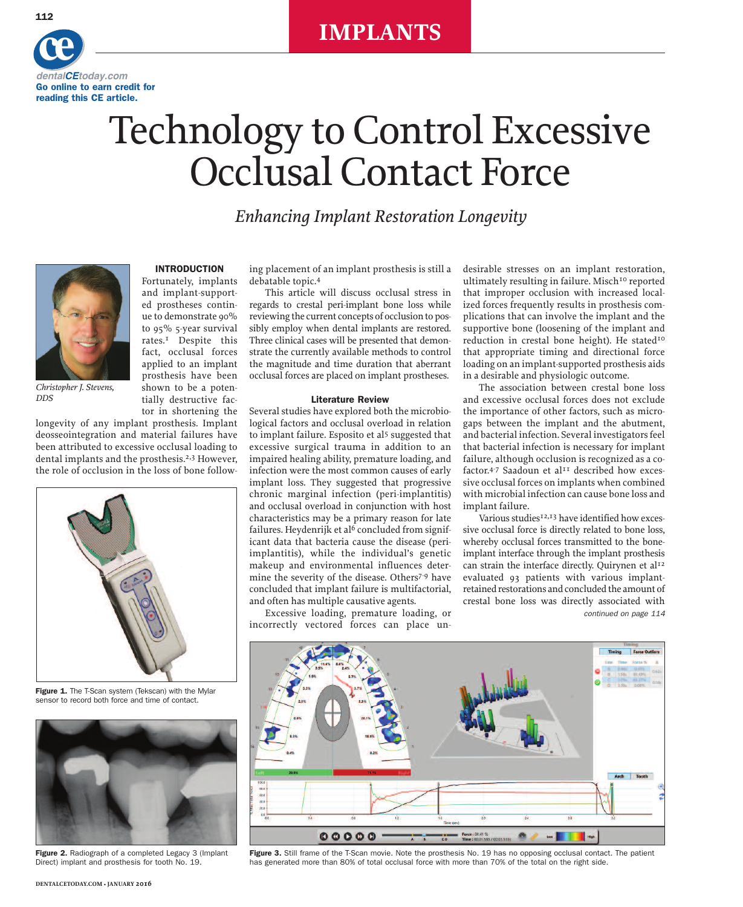### **IMPLANTS**



## Technology to Control Excessive Occlusal Contact Force

*Enhancing Implant Restoration Longevity*



*Christopher J. Stevens, DDS*

tor in shortening the longevity of any implant prosthesis. Implant deosseointegration and material failures have been attributed to excessive occlusal loading to dental implants and the prosthesis. 2,3 However, the role of occlusion in the loss of bone follow-

**INTRODUCTION** Fortunately, implants and implant-supported prostheses continue to demonstrate 90% to 95% 5-year survival rates. 1 Despite this fact, occlusal forces applied to an implant prosthesis have been shown to be a potentially destructive fac-



**Figure 1.** The T-Scan system (Tekscan) with the Mylar sensor to record both force and time of contact.



**Figure 2.** Radiograph of a completed Legacy 3 (Implant Direct) implant and prosthesis for tooth No. 19.

ing placement of an implant prosthesis is still a debatable topic. 4

This article will discuss occlusal stress in regards to crestal peri-implant bone loss while reviewing the current concepts of occlusion to possibly employ when dental implants are restored. Three clinical cases will be presented that demonstrate the currently available methods to control the magnitude and time duration that aberrant occlusal forces are placed on implant prostheses.

#### **Literature Review**

Several studies have explored both the microbiological factors and occlusal overload in relation to implant failure. Esposito et al<sup>5</sup> suggested that excessive surgical trauma in addition to an impaired healing ability, premature loading, and infection were the most common causes of early implant loss. They suggested that progressive chronic marginal infection (peri-implantitis) and occlusal overload in conjunction with host characteristics may be a primary reason for late failures. Heydenrijk et al $6$  concluded from significant data that bacteria cause the disease (periimplantitis), while the individual's genetic makeup and environmental influences determine the severity of the disease. Others7-9 have concluded that implant failure is multifactorial, and often has multiple causative agents.

Excessive loading, premature loading, or incorrectly vectored forces can place undesirable stresses on an implant restoration, ultimately resulting in failure. Misch<sup>10</sup> reported that improper occlusion with increased localized forces frequently results in prosthesis complications that can involve the implant and the supportive bone (loosening of the implant and reduction in crestal bone height). He stated<sup>10</sup> that appropriate timing and directional force loading on an implant-supported prosthesis aids in a desirable and physiologic outcome.

The association between crestal bone loss and excessive occlusal forces does not exclude the importance of other factors, such as microgaps between the implant and the abutment, and bacterial infection. Several investigators feel that bacterial infection is necessary for implant failure, although occlusion is recognized as a cofactor.<sup>4-7</sup> Saadoun et al<sup>11</sup> described how excessive occlusal forces on implants when combined with microbial infection can cause bone loss and implant failure.

Various studies<sup>12,13</sup> have identified how excessive occlusal force is directly related to bone loss, whereby occlusal forces transmitted to the boneimplant interface through the implant prosthesis can strain the interface directly. Quirynen et al<sup>12</sup> evaluated 93 patients with various implantretained restorations and concluded the amount of crestal bone loss was directly associated with *continued on page 114*



**Figure 3.** Still frame of the T-Scan movie. Note the prosthesis No. 19 has no opposing occlusal contact. The patient has generated more than 80% of total occlusal force with more than 70% of the total on the right side.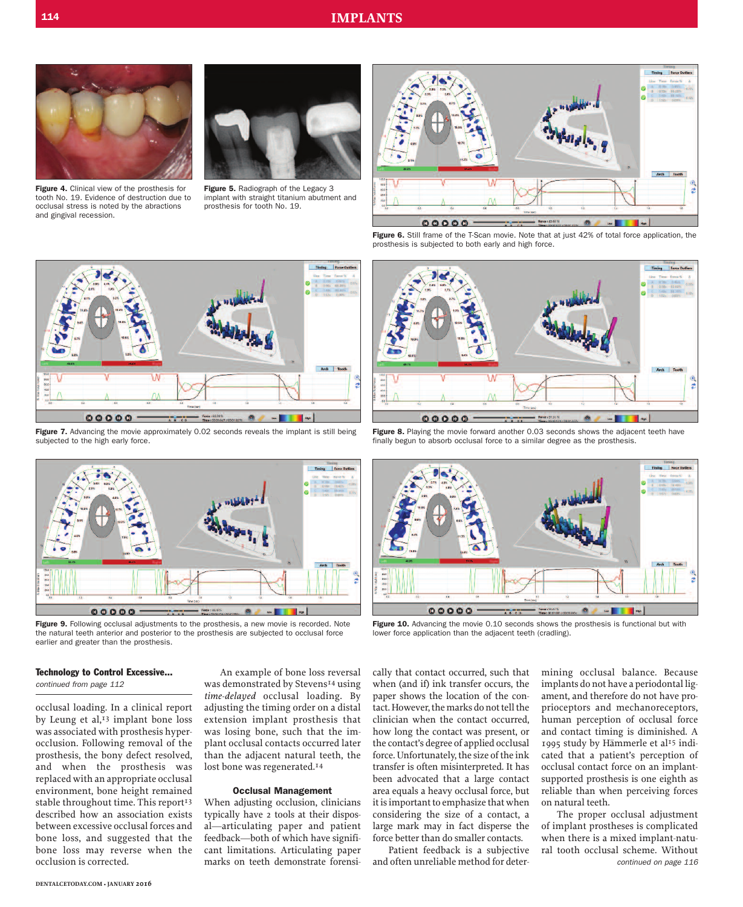

**Figure 4.** Clinical view of the prosthesis for tooth No. 19. Evidence of destruction due to occlusal stress is noted by the abractions and gingival recession.



**Figure 5.** Radiograph of the Legacy 3 implant with straight titanium abutment and prosthesis for tooth No. 19.



**Figure 6.** Still frame of the T-Scan movie. Note that at just 42% of total force application, the prosthesis is subjected to both early and high force.



**Figure 7.** Advancing the movie approximately 0.02 seconds reveals the implant is still being subjected to the high early force.



**Figure 9.** Following occlusal adjustments to the prosthesis, a new movie is recorded. Note the natural teeth anterior and posterior to the prosthesis are subjected to occlusal force earlier and greater than the prosthesis.

# Arch To ÷  $00000$

**Figure 8.** Playing the movie forward another 0.03 seconds shows the adjacent teeth have finally begun to absorb occlusal force to a similar degree as the prosthesis.



**Figure 10.** Advancing the movie 0.10 seconds shows the prosthesis is functional but with lower force application than the adjacent teeth (cradling).

#### **Technology to Control Excessive...**

*continued from page 112*

occlusal loading. In a clinical report by Leung et al, 13 implant bone loss was associated with prosthesis hyperocclusion. Following removal of the prosthesis, the bony defect resolved, and when the prosthesis was replaced with an appropriate occlusal environment, bone height remained stable throughout time. This report<sup>13</sup> described how an association exists between excessive occlusal forces and bone loss, and suggested that the bone loss may reverse when the occlusion is corrected.

An example of bone loss reversal was demonstrated by Stevens<sup>14</sup> using *time-delayed* occlusal loading. By adjusting the timing order on a distal extension implant prosthesis that was losing bone, such that the implant occlusal contacts occurred later than the adjacent natural teeth, the lost bone was regenerated. 14

#### **Occlusal Management**

When adjusting occlusion, clinicians typically have 2 tools at their disposal—articulating paper and patient feedback—both of which have significant limitations. Articulating paper marks on teeth demonstrate forensi-

cally that contact occurred, such that when (and if) ink transfer occurs, the paper shows the location of the contact. However, the marks do not tell the clinician when the contact occurred, how long the contact was present, or the contact's degree of applied occlusal force. Unfortunately, the size of the ink transfer is often misinterpreted. It has been advocated that a large contact area equals a heavy occlusal force, but it is important to emphasize that when considering the size of a contact, a large mark may in fact disperse the force better than do smaller contacts.

Patient feedback is a subjective and often unreliable method for determining occlusal balance. Because implants do not have a periodontal ligament, and therefore do not have proprioceptors and mechanoreceptors, human perception of occlusal force and contact timing is diminished. A 1995 study by Hämmerle et al<sup>15</sup> indicated that a patient's perception of occlusal contact force on an implantsupported prosthesis is one eighth as reliable than when perceiving forces on natural teeth.

The proper occlusal adjustment of implant prostheses is complicated when there is a mixed implant-natural tooth occlusal scheme. Without *continued on page 116*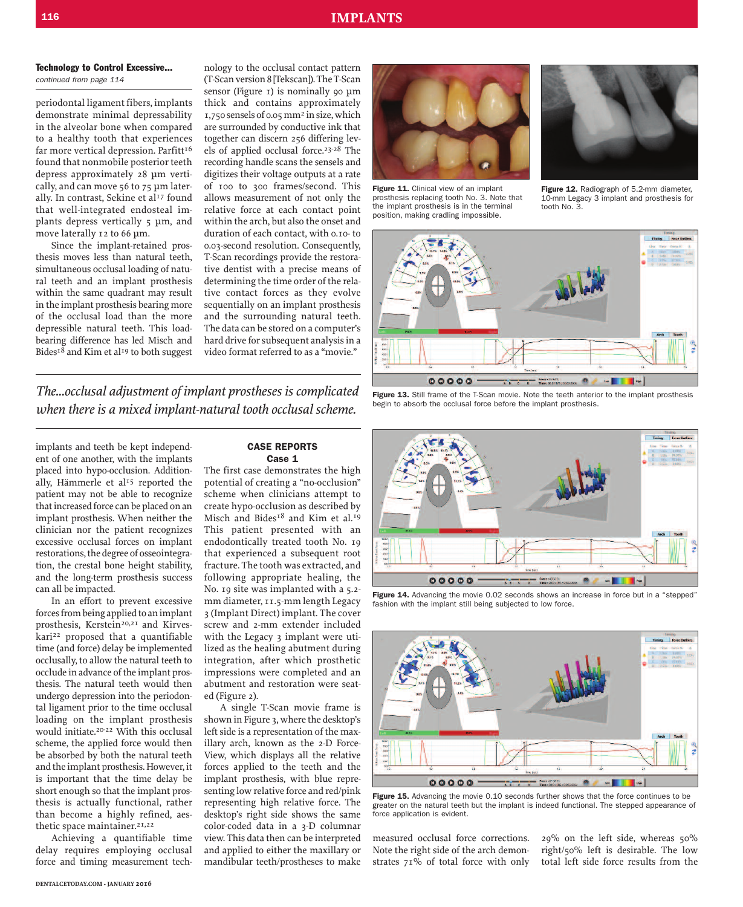#### **116 IMPLANTS**

#### *continued from page 114* **Technology to Control Excessive...**

periodontal ligament fibers, implants demonstrate minimal depressability in the alveolar bone when compared to a healthy tooth that experiences far more vertical depression. Parfitt<sup>16</sup> found that nonmobile posterior teeth depress approximately 28 µm vertically, and can move 56 to 75 µm laterally. In contrast, Sekine et al<sup>17</sup> found that well-integrated endosteal implants depress vertically 5 µm, and move laterally 12 to 66 µm.

Since the implant-retained prosthesis moves less than natural teeth, simultaneous occlusal loading of natural teeth and an implant prosthesis within the same quadrant may result in the implant prosthesis bearing more of the occlusal load than the more depressible natural teeth. This loadbearing difference has led Misch and Bides<sup>18</sup> and Kim et al<sup>19</sup> to both suggest nology to the occlusal contact pattern (T-Scanversion8 [Tekscan]).TheT-Scan sensor (Figure  $_1$ ) is nominally 90  $\mu$ m thick and contains approximately 1,750 sensels of 0.05mm2 insize,which are surrounded by conductive ink that together can discern 256 differing levels of applied occlusal force. 23-28 The recording handle scans the sensels and digitizes their voltage outputs at a rate of 100 to 300 frames/second. This allows measurement of not only the relative force at each contact point within the arch, but also the onset and duration of each contact, with 0.10- to 0.03-second resolution. Consequently, T-Scan recordings provide the restorative dentist with a precise means of determining the time order of the relative contact forces as they evolve sequentially on an implant prosthesis and the surrounding natural teeth. The data can be stored on a computer's hard drive for subsequent analysis in a video format referred to as a "movie."

*The...occlusal adjustment of implant prostheses is complicated when there is a mixed implant-natural tooth occlusal scheme.*

implants and teeth be kept independent of one another, with the implants placed into hypo-occlusion. Additionally, Hämmerle et al<sup>15</sup> reported the patient may not be able to recognize that increased force can be placed on an implant prosthesis. When neither the clinician nor the patient recognizes excessive occlusal forces on implant restorations, the degree of osseointegration, the crestal bone height stability, and the long-term prosthesis success can all be impacted.

In an effort to prevent excessive forces from being applied to an implant prosthesis, Kerstein<sup>20,21</sup> and Kirveskari<sup>22</sup> proposed that a quantifiable time (and force) delay be implemented occlusally, to allow the natural teeth to occlude in advance of the implant prosthesis. The natural teeth would then undergo depression into the periodontal ligament prior to the time occlusal loading on the implant prosthesis would initiate. 20-22 With this occlusal scheme, the applied force would then be absorbed by both the natural teeth and the implant prosthesis. However, it is important that the time delay be short enough so that the implant prosthesis is actually functional, rather than become a highly refined, aesthetic space maintainer.<sup>21,22</sup>

Achieving a quantifiable time delay requires employing occlusal force and timing measurement tech-

#### **CASE REPORTS Case 1**

The first case demonstrates the high potential of creating a "no-occlusion" scheme when clinicians attempt to create hypo-occlusion as described by Misch and Bides<sup>18</sup> and Kim et al.<sup>19</sup> This patient presented with an endodontically treated tooth No. 19 that experienced a subsequent root fracture. The tooth was extracted, and following appropriate healing, the No. 19 site was implanted with a 5.2 mm diameter, 11.5-mm length Legacy 3 (Implant Direct) implant. The cover screw and 2-mm extender included with the Legacy 3 implant were utilized as the healing abutment during integration, after which prosthetic impressions were completed and an abutment and restoration were seated (Figure 2).

A single T-Scan movie frame is shown in Figure 3, where the desktop's left side is a representation of the maxillary arch, known as the 2-D Force-View, which displays all the relative forces applied to the teeth and the implant prosthesis, with blue representing low relative force and red/pink representing high relative force. The desktop's right side shows the same color-coded data in a 3-D columnar view. This data then can be interpreted and applied to either the maxillary or mandibular teeth/prostheses to make



the implant prosthesis is in the terminal position, making cradling impossible.



**Figure 12.** Radiograph of 5.2-mm diameter, 10-mm Legacy 3 implant and prosthesis for tooth No. 3.



**Figure 13.** Still frame of the T-Scan movie. Note the teeth anterior to the implant prosthesis begin to absorb the occlusal force before the implant prosthesis.



**Figure 14.** Advancing the movie 0.02 seconds shows an increase in force but in a "stepped" fashion with the implant still being subjected to low force.



**Figure 15.** Advancing the movie 0.10 seconds further shows that the force continues to be greater on the natural teeth but the implant is indeed functional. The stepped appearance of force application is evident.

measured occlusal force corrections. Note the right side of the arch demonstrates 71% of total force with only 29% on the left side, whereas 50% right/50% left is desirable. The low total left side force results from the